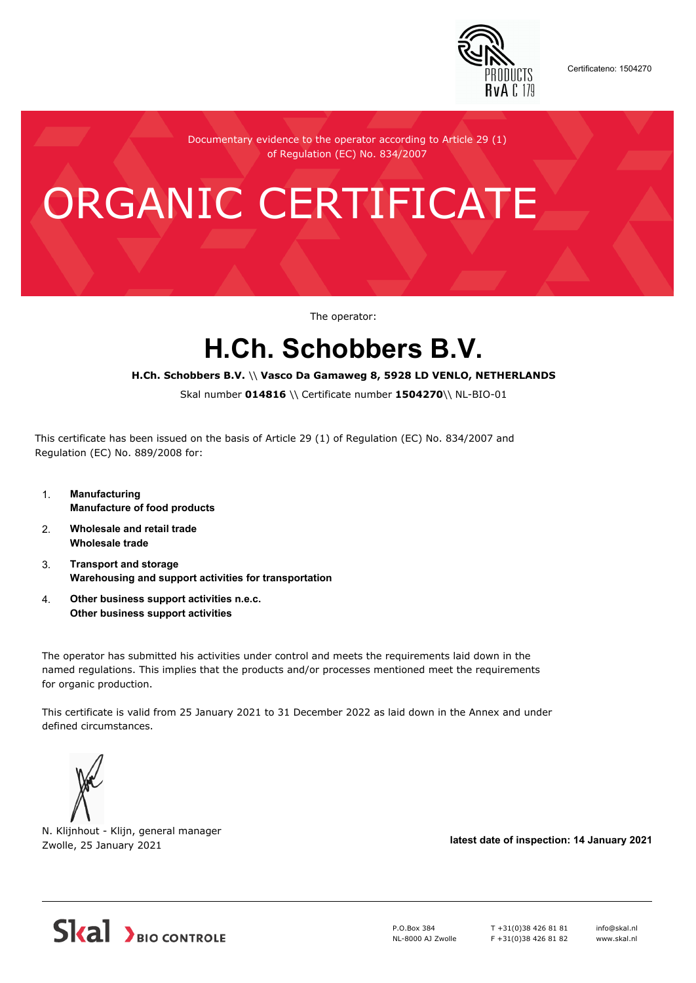

Certificateno: 1504270

Documentary evidence to the operator according to Article 29 (1) of Regulation (EC) No. 834/2007

# ORGANIC CERTIFICATE

The operator:

## **H.Ch. Schobbers B.V.**

#### **H.Ch. Schobbers B.V.** \\ **Vasco Da Gamaweg 8, 5928 LD VENLO, NETHERLANDS**

Skal number **014816** \\ Certificate number **1504270**\\ NL-BIO-01

This certificate has been issued on the basis of Article 29 (1) of Regulation (EC) No. 834/2007 and Regulation (EC) No. 889/2008 for:

- 1. **Manufacturing Manufacture of food products**
- 2. **Wholesale and retail trade Wholesale trade**
- 3. **Transport and storage Warehousing and support activities for transportation**
- 4. **Other business support activities n.e.c. Other business support activities**

The operator has submitted his activities under control and meets the requirements laid down in the named regulations. This implies that the products and/or processes mentioned meet the requirements for organic production.

This certificate is valid from 25 January 2021 to 31 December 2022 as laid down in the Annex and under defined circumstances.



N. Klijnhout - Klijn, general manager Zwolle, 25 January 2021 **latest date of inspection: 14 January 2021**



P.O.Box 384 NL-8000 AJ Zwolle T +31(0)38 426 81 81 F +31(0)38 426 81 82 info@skal.nl www.skal.nl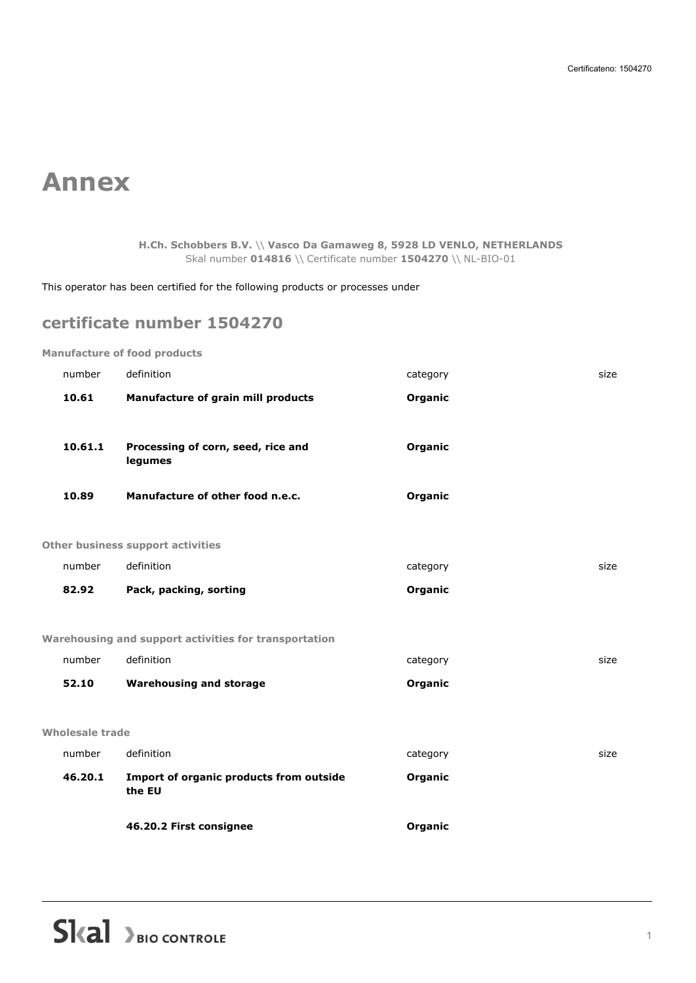## **Annex**

**H.Ch. Schobbers B.V.** \\ **Vasco Da Gamaweg 8, 5928 LD VENLO, NETHERLANDS** Skal number **014816** \\ Certificate number **1504270** \\ NL-BIO-01

This operator has been certified for the following products or processes under

### **certificate number 1504270**

**Manufacture of food products**

| number          | definition                                            | category | size |
|-----------------|-------------------------------------------------------|----------|------|
| Wholesale trade |                                                       |          |      |
| 52.10           | <b>Warehousing and storage</b>                        | Organic  |      |
| number          | definition                                            | category | size |
|                 | Warehousing and support activities for transportation |          |      |
| 82.92           | Pack, packing, sorting                                | Organic  |      |
| number          | definition                                            | category | size |
|                 | Other business support activities                     |          |      |
| 10.89           | Manufacture of other food n.e.c.                      | Organic  |      |
|                 | legumes                                               |          |      |
| 10.61.1         | Processing of corn, seed, rice and                    | Organic  |      |
| 10.61           | Manufacture of grain mill products                    | Organic  |      |
| number          | definition                                            | category | size |